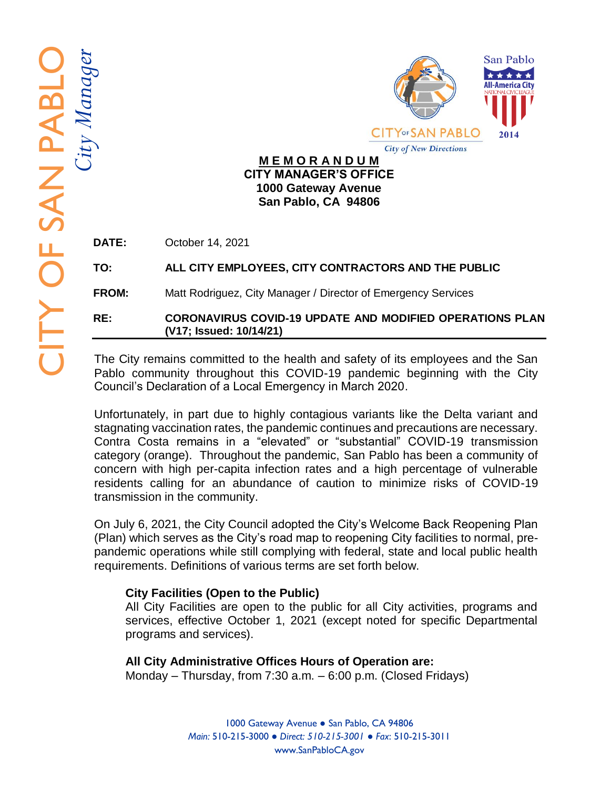



#### **M E M O R A N D U M CITY MANAGER'S OFFICE 1000 Gateway Avenue San Pablo, CA 94806**

**DATE:** October 14, 2021

## **TO: ALL CITY EMPLOYEES, CITY CONTRACTORS AND THE PUBLI C**

**FROM:** Matt Rodriguez, City Manager / Director of Emergency Services

**RE: CORONAVIRUS COVID -19 UPDATE AND MODIFIED OPERATIONS PLAN (V1 7; Issued: 10/14/21 )**

The City remains committed to the health and safety of its employees and the San Pablo community throughout this COVID -19 pandemic beginning with the City Council's Declaration of a Local Emergency in March 2020.

Unfortunately, in part due to highly contagious variants like the Delta variant and stagnating vaccination rates, the pandemic continues and precautions are necessary. Contra Costa remains in a "elevated" or "substantial" COVID -19 transmission category (orange). Throughout the pandemic, San Pablo has been a community of concern with high per -capita infection rates and a high percentage of vulnerable residents calling for an abundance of caution to minimize risks of COVID -19 transmission in the community.

On July 6, 2021, the City Council adopted the City's Welcome Back Reopening Plan (Plan) which serve s as the City's road map to reopening City facilities to normal, pre pandemic operations while still complying with federal, state and local public health requirements. Definitions of various terms are set forth below.

## **City Facilities (Open to the Public)**

All City Facilities are open to the public for all City activities, programs and services, effective October 1, 2021 (except noted for specific Departmental programs and services).

## **All City Administrative Offices Hours of Operation are:**

Monday – Thursday, from 7:30 a.m. – 6:00 p.m. (Closed Fridays)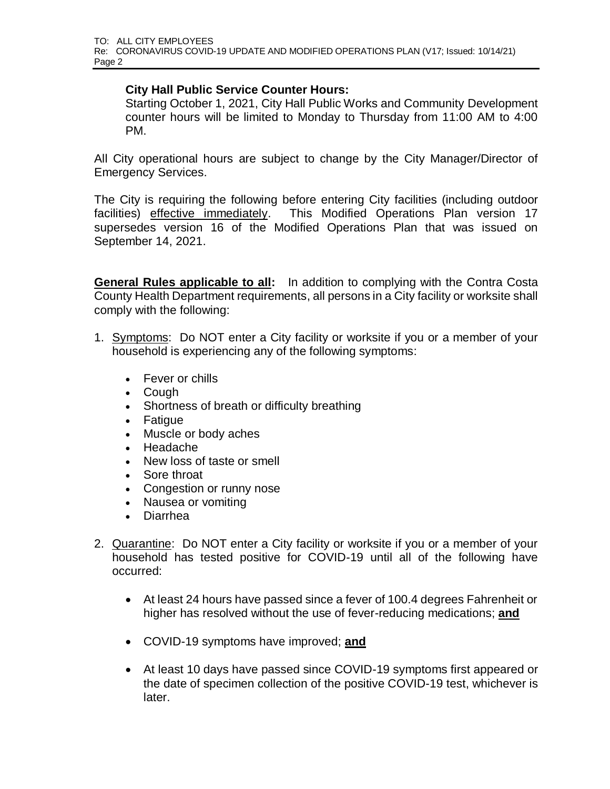#### **City Hall Public Service Counter Hours:**

Starting October 1, 2021, City Hall Public Works and Community Development counter hours will be limited to Monday to Thursday from 11:00 AM to 4:00 PM.

All City operational hours are subject to change by the City Manager/Director of Emergency Services.

The City is requiring the following before entering City facilities (including outdoor facilities) effective immediately. This Modified Operations Plan version 17 supersedes version 16 of the Modified Operations Plan that was issued on September 14, 2021.

**General Rules applicable to all:** In addition to complying with the Contra Costa County Health Department requirements, all persons in a City facility or worksite shall comply with the following:

- 1. Symptoms: Do NOT enter a City facility or worksite if you or a member of your household is experiencing any of the following symptoms:
	- Fever or chills
	- Cough
	- Shortness of breath or difficulty breathing
	- Fatigue
	- Muscle or body aches
	- Headache
	- New loss of taste or smell
	- Sore throat
	- Congestion or runny nose
	- Nausea or vomiting
	- Diarrhea
- 2. Quarantine: Do NOT enter a City facility or worksite if you or a member of your household has tested positive for COVID-19 until all of the following have occurred:
	- At least 24 hours have passed since a fever of 100.4 degrees Fahrenheit or higher has resolved without the use of fever-reducing medications; **and**
	- COVID-19 symptoms have improved; **and**
	- At least 10 days have passed since COVID-19 symptoms first appeared or the date of specimen collection of the positive COVID-19 test, whichever is later.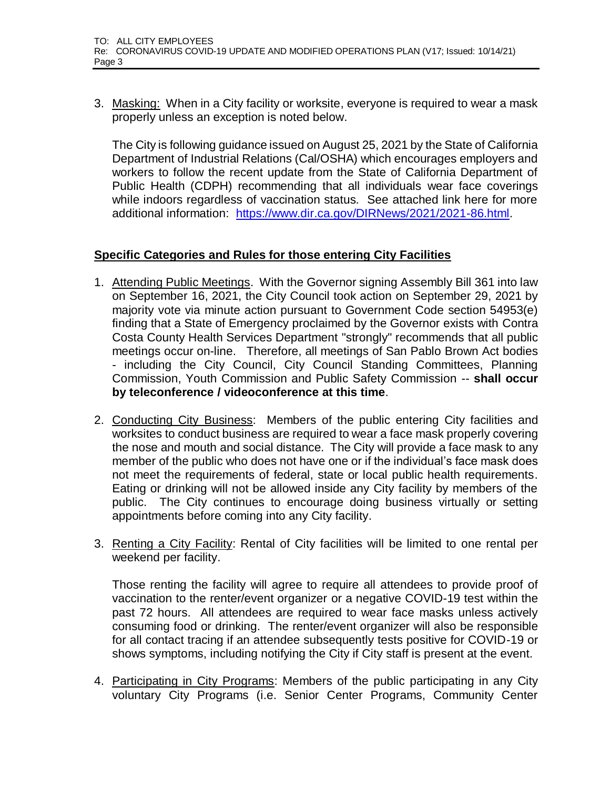3. Masking: When in a City facility or worksite, everyone is required to wear a mask properly unless an exception is noted below.

The City is following guidance issued on August 25, 2021 by the State of California Department of Industrial Relations (Cal/OSHA) which encourages employers and workers to follow the recent update from the State of California Department of Public Health (CDPH) recommending that all individuals wear face coverings while indoors regardless of vaccination status. See attached link here for more additional information: [https://www.dir.ca.gov/DIRNews/2021/2021-86.html.](https://www.dir.ca.gov/DIRNews/2021/2021-86.html)

#### **Specific Categories and Rules for those entering City Facilities**

- 1. Attending Public Meetings. With the Governor signing Assembly Bill 361 into law on September 16, 2021, the City Council took action on September 29, 2021 by majority vote via minute action pursuant to Government Code section 54953(e) finding that a State of Emergency proclaimed by the Governor exists with Contra Costa County Health Services Department "strongly" recommends that all public meetings occur on-line. Therefore, all meetings of San Pablo Brown Act bodies - including the City Council, City Council Standing Committees, Planning Commission, Youth Commission and Public Safety Commission -- **shall occur by teleconference / videoconference at this time**.
- 2. Conducting City Business: Members of the public entering City facilities and worksites to conduct business are required to wear a face mask properly covering the nose and mouth and social distance. The City will provide a face mask to any member of the public who does not have one or if the individual's face mask does not meet the requirements of federal, state or local public health requirements. Eating or drinking will not be allowed inside any City facility by members of the public. The City continues to encourage doing business virtually or setting appointments before coming into any City facility.
- 3. Renting a City Facility: Rental of City facilities will be limited to one rental per weekend per facility.

Those renting the facility will agree to require all attendees to provide proof of vaccination to the renter/event organizer or a negative COVID-19 test within the past 72 hours. All attendees are required to wear face masks unless actively consuming food or drinking. The renter/event organizer will also be responsible for all contact tracing if an attendee subsequently tests positive for COVID-19 or shows symptoms, including notifying the City if City staff is present at the event.

4. Participating in City Programs: Members of the public participating in any City voluntary City Programs (i.e. Senior Center Programs, Community Center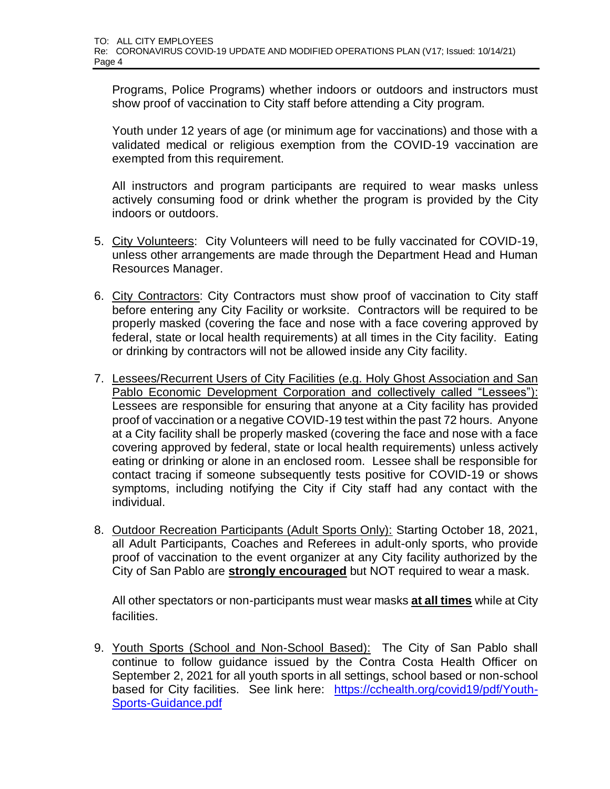Programs, Police Programs) whether indoors or outdoors and instructors must show proof of vaccination to City staff before attending a City program.

Youth under 12 years of age (or minimum age for vaccinations) and those with a validated medical or religious exemption from the COVID-19 vaccination are exempted from this requirement.

All instructors and program participants are required to wear masks unless actively consuming food or drink whether the program is provided by the City indoors or outdoors.

- 5. City Volunteers: City Volunteers will need to be fully vaccinated for COVID-19, unless other arrangements are made through the Department Head and Human Resources Manager.
- 6. City Contractors: City Contractors must show proof of vaccination to City staff before entering any City Facility or worksite. Contractors will be required to be properly masked (covering the face and nose with a face covering approved by federal, state or local health requirements) at all times in the City facility. Eating or drinking by contractors will not be allowed inside any City facility.
- 7. Lessees/Recurrent Users of City Facilities (e.g. Holy Ghost Association and San Pablo Economic Development Corporation and collectively called "Lessees"): Lessees are responsible for ensuring that anyone at a City facility has provided proof of vaccination or a negative COVID-19 test within the past 72 hours. Anyone at a City facility shall be properly masked (covering the face and nose with a face covering approved by federal, state or local health requirements) unless actively eating or drinking or alone in an enclosed room. Lessee shall be responsible for contact tracing if someone subsequently tests positive for COVID-19 or shows symptoms, including notifying the City if City staff had any contact with the individual.
- 8. Outdoor Recreation Participants (Adult Sports Only): Starting October 18, 2021, all Adult Participants, Coaches and Referees in adult-only sports, who provide proof of vaccination to the event organizer at any City facility authorized by the City of San Pablo are **strongly encouraged** but NOT required to wear a mask.

All other spectators or non-participants must wear masks **at all times** while at City facilities.

9. Youth Sports (School and Non-School Based):The City of San Pablo shall continue to follow guidance issued by the Contra Costa Health Officer on September 2, 2021 for all youth sports in all settings, school based or non-school based for City facilities. See link here: [https://cchealth.org/covid19/pdf/Youth-](https://urldefense.proofpoint.com/v2/url?u=https-3A__cchealth.org_covid19_pdf_Youth-2DSports-2DGuidance.pdf&d=DwQGaQ&c=euGZstcaTDllvimEN8b7jXrwqOf-v5A_CdpgnVfiiMM&r=Sx3E2mXmFBoRV8dEY9_Uw2rgArbV0nXJ0MZFjsnOgRY&m=beXdh9Df7iXSpGOWb1aIrjfFipOhsXTAHwpBvoiYdgg&s=KgGpCFQ_qS1puumhzHzKUcDo4wvA5ApC9oz-0ue5PX0&e=)[Sports-Guidance.pdf](https://urldefense.proofpoint.com/v2/url?u=https-3A__cchealth.org_covid19_pdf_Youth-2DSports-2DGuidance.pdf&d=DwQGaQ&c=euGZstcaTDllvimEN8b7jXrwqOf-v5A_CdpgnVfiiMM&r=Sx3E2mXmFBoRV8dEY9_Uw2rgArbV0nXJ0MZFjsnOgRY&m=beXdh9Df7iXSpGOWb1aIrjfFipOhsXTAHwpBvoiYdgg&s=KgGpCFQ_qS1puumhzHzKUcDo4wvA5ApC9oz-0ue5PX0&e=)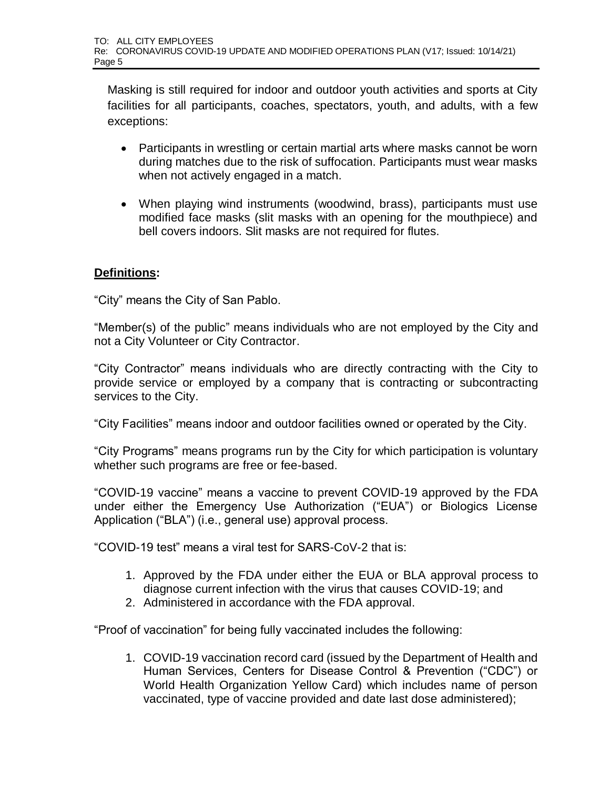Masking is still required for indoor and outdoor youth activities and sports at City facilities for all participants, coaches, spectators, youth, and adults, with a few exceptions:

- Participants in wrestling or certain martial arts where masks cannot be worn during matches due to the risk of suffocation. Participants must wear masks when not actively engaged in a match.
- When playing wind instruments (woodwind, brass), participants must use modified face masks (slit masks with an opening for the mouthpiece) and bell covers indoors. Slit masks are not required for flutes.

# **Definitions:**

"City" means the City of San Pablo.

"Member(s) of the public" means individuals who are not employed by the City and not a City Volunteer or City Contractor.

"City Contractor" means individuals who are directly contracting with the City to provide service or employed by a company that is contracting or subcontracting services to the City.

"City Facilities" means indoor and outdoor facilities owned or operated by the City.

"City Programs" means programs run by the City for which participation is voluntary whether such programs are free or fee-based.

"COVID-19 vaccine" means a vaccine to prevent COVID-19 approved by the FDA under either the Emergency Use Authorization ("EUA") or Biologics License Application ("BLA") (i.e., general use) approval process.

"COVID-19 test" means a viral test for SARS-CoV-2 that is:

- 1. Approved by the FDA under either the EUA or BLA approval process to diagnose current infection with the virus that causes COVID-19; and
- 2. Administered in accordance with the FDA approval.

"Proof of vaccination" for being fully vaccinated includes the following:

1. COVID-19 vaccination record card (issued by the Department of Health and Human Services, Centers for Disease Control & Prevention ("CDC") or World Health Organization Yellow Card) which includes name of person vaccinated, type of vaccine provided and date last dose administered);